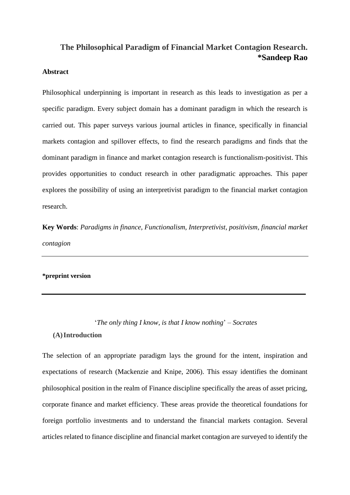# **The Philosophical Paradigm of Financial Market Contagion Research. \*Sandeep Rao**

## **Abstract**

Philosophical underpinning is important in research as this leads to investigation as per a specific paradigm. Every subject domain has a dominant paradigm in which the research is carried out. This paper surveys various journal articles in finance, specifically in financial markets contagion and spillover effects, to find the research paradigms and finds that the dominant paradigm in finance and market contagion research is functionalism-positivist. This provides opportunities to conduct research in other paradigmatic approaches. This paper explores the possibility of using an interpretivist paradigm to the financial market contagion research.

**Key Words**: *Paradigms in finance, Functionalism, Interpretivist, positivism, financial market contagion*

### **\*preprint version**

'*The only thing I know, is that I know nothing*' – *Socrates*

### **(A)Introduction**

The selection of an appropriate paradigm lays the ground for the intent, inspiration and expectations of research (Mackenzie and Knipe, 2006). This essay identifies the dominant philosophical position in the realm of Finance discipline specifically the areas of asset pricing, corporate finance and market efficiency. These areas provide the theoretical foundations for foreign portfolio investments and to understand the financial markets contagion. Several articles related to finance discipline and financial market contagion are surveyed to identify the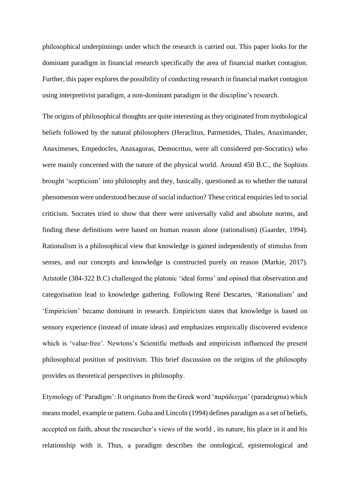philosophical underpinnings under which the research is carried out. This paper looks for the dominant paradigm in financial research specifically the area of financial market contagion. Further, this paper explores the possibility of conducting research in financial market contagion using interpretivist paradigm, a non-dominant paradigm in the discipline's research.

The origins of philosophical thoughts are quite interesting as they originated from mythological beliefs followed by the natural philosophers (Heraclitus, Parmenides, Thales, Anaximander, Anaximenes, Empedocles, Anaxagoras, Democritus, were all considered pre-Socratics) who were mainly concerned with the nature of the physical world. Around 450 B.C., the Sophists brought 'scepticism' into philosophy and they, basically, questioned as to whether the natural phenomenon were understood because of social induction? These critical enquiries led to social criticism. Socrates tried to show that there were universally valid and absolute norms, and finding these definitions were based on human reason alone (rationalism) (Gaarder, 1994). Rationalism is a philosophical view that knowledge is gained independently of stimulus from senses, and our concepts and knowledge is constructed purely on reason (Markie, 2017). Aristotle (384-322 B.C) challenged the platonic 'ideal forms' and opined that observation and categorisation lead to knowledge gathering. Following René Descartes, 'Rationalism' and 'Empiricism' became dominant in research. Empiricism states that knowledge is based on sensory experience (instead of innate ideas) and emphasizes empirically discovered evidence which is 'value-free'. Newtons's Scientific methods and empiricism influenced the present philosophical position of positivism. This brief discussion on the origins of the philosophy provides us theoretical perspectives in philosophy.

Etymology of 'Paradigm': It originates from the Greek word 'παράδειγμα' (paradeigma) which means model, example or pattern. Guba and Lincoln (1994) defines paradigm as a set of beliefs, accepted on faith, about the researcher's views of the world , its nature, his place in it and his relationship with it. Thus, a paradigm describes the ontological, epistemological and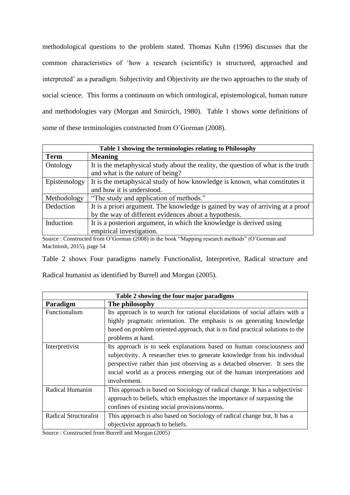methodological questions to the problem stated. Thomas Kuhn (1996) discusses that the common characteristics of 'how a research (scientific) is structured, approached and interpreted' as a paradigm. Subjectivity and Objectivity are the two approaches to the study of social science. This forms a continuum on which ontological, epistemological, human nature and methodologies vary (Morgan and Smircich, 1980). Table 1 shows some definitions of some of these terminologies constructed from O'Gorman (2008).

| Table 1 showing the terminologies relating to Philosophy |                                                                                                                                                                            |  |  |  |
|----------------------------------------------------------|----------------------------------------------------------------------------------------------------------------------------------------------------------------------------|--|--|--|
| <b>Term</b>                                              | <b>Meaning</b>                                                                                                                                                             |  |  |  |
| Ontology                                                 | It is the metaphysical study about the reality, the question of what is the truth                                                                                          |  |  |  |
|                                                          | and what is the nature of being?                                                                                                                                           |  |  |  |
| Epistemology                                             | It is the metaphysical study of how knowledge is known, what constitutes it                                                                                                |  |  |  |
|                                                          | and how it is understood.                                                                                                                                                  |  |  |  |
| Methodology                                              | "The study and application of methods."                                                                                                                                    |  |  |  |
| Deduction                                                | It is a priori argument. The knowledge is gained by way of arriving at a proof                                                                                             |  |  |  |
|                                                          | by the way of different evidences about a hypothesis.                                                                                                                      |  |  |  |
| Induction                                                | It is a posteriori argument, in which the knowledge is derived using                                                                                                       |  |  |  |
|                                                          | empirical investigation.                                                                                                                                                   |  |  |  |
|                                                          | $\sim$ $\sim$ $\sim$ $\sim$ $\sim$ $\sim$ $\sim$ $\sim$<br>the contract of the contract of the contract of the contract of the contract of the contract of the contract of |  |  |  |

Source : Constructed from O'Gorman (2008) in the book "Mapping research methods" (O'Gorman and MacIntosh, 2015), page 54

Table 2 shows Four paradigms namely Functionalist, Interpretive, Radical structure and

Radical humanist as identified by Burrell and Morgan (2005).

| Table 2 showing the four major paradigms |                                                                                |  |  |  |
|------------------------------------------|--------------------------------------------------------------------------------|--|--|--|
| Paradigm                                 | The philosophy                                                                 |  |  |  |
| Functionalism                            | Its approach is to search for rational elucidations of social affairs with a   |  |  |  |
|                                          | highly pragmatic orientation. The emphasis is on generating knowledge          |  |  |  |
|                                          | based on problem oriented approach, that is to find practical solutions to the |  |  |  |
|                                          | problems at hand.                                                              |  |  |  |
| Interpretivist                           | Its approach is to seek explanations based on human consciousness and          |  |  |  |
|                                          | subjectivity. A researcher tries to generate knowledge from his individual     |  |  |  |
|                                          | perspective rather than just observing as a detached observer. It sees the     |  |  |  |
|                                          | social world as a process emerging out of the human interpretations and        |  |  |  |
|                                          | involvement.                                                                   |  |  |  |
| <b>Radical Humanist</b>                  | This approach is based on Sociology of radical change. It has a subjectivist   |  |  |  |
|                                          | approach to beliefs, which emphasizes the importance of surpassing the         |  |  |  |
|                                          | confines of existing social provisions/norms.                                  |  |  |  |
| Radical Structuralist                    | This approach is also based on Sociology of radical change but, It has a       |  |  |  |
|                                          | objectivist approach to beliefs.                                               |  |  |  |

Source : Constructed from Burrell and Morgan (2005)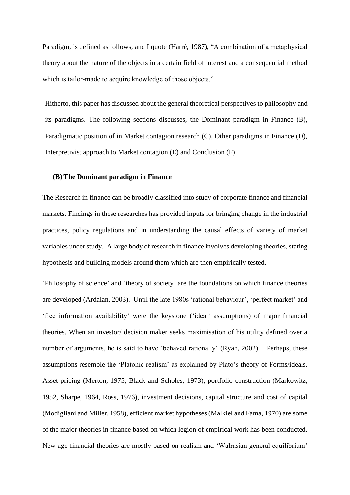Paradigm, is defined as follows, and I quote (Harré, 1987), "A combination of a metaphysical theory about the nature of the objects in a certain field of interest and a consequential method which is tailor-made to acquire knowledge of those objects."

Hitherto, this paper has discussed about the general theoretical perspectives to philosophy and its paradigms. The following sections discusses, the Dominant paradigm in Finance (B), Paradigmatic position of in Market contagion research (C), Other paradigms in Finance (D), Interpretivist approach to Market contagion (E) and Conclusion (F).

### **(B)The Dominant paradigm in Finance**

The Research in finance can be broadly classified into study of corporate finance and financial markets. Findings in these researches has provided inputs for bringing change in the industrial practices, policy regulations and in understanding the causal effects of variety of market variables under study. A large body of research in finance involves developing theories, stating hypothesis and building models around them which are then empirically tested.

'Philosophy of science' and 'theory of society' are the foundations on which finance theories are developed (Ardalan, 2003). Until the late 1980s 'rational behaviour', 'perfect market' and 'free information availability' were the keystone ('ideal' assumptions) of major financial theories. When an investor/ decision maker seeks maximisation of his utility defined over a number of arguments, he is said to have 'behaved rationally' (Ryan, 2002). Perhaps, these assumptions resemble the 'Platonic realism' as explained by Plato's theory of Forms/ideals. Asset pricing (Merton, 1975, Black and Scholes, 1973), portfolio construction (Markowitz, 1952, Sharpe, 1964, Ross, 1976), investment decisions, capital structure and cost of capital (Modigliani and Miller, 1958), efficient market hypotheses (Malkiel and Fama, 1970) are some of the major theories in finance based on which legion of empirical work has been conducted. New age financial theories are mostly based on realism and 'Walrasian general equilibrium'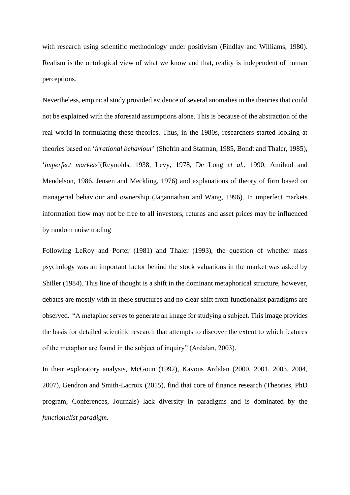with research using scientific methodology under positivism (Findlay and Williams, 1980). Realism is the ontological view of what we know and that, reality is independent of human perceptions.

Nevertheless, empirical study provided evidence of several anomalies in the theories that could not be explained with the aforesaid assumptions alone. This is because of the abstraction of the real world in formulating these theories. Thus, in the 1980s, researchers started looking at theories based on '*irrational behaviour*' (Shefrin and Statman, 1985, Bondt and Thaler, 1985), '*imperfect markets*'(Reynolds, 1938, Levy, 1978, De Long *et al.*, 1990, Amihud and Mendelson, 1986, Jensen and Meckling, 1976) and explanations of theory of firm based on managerial behaviour and ownership (Jagannathan and Wang, 1996). In imperfect markets information flow may not be free to all investors, returns and asset prices may be influenced by random noise trading

Following LeRoy and Porter (1981) and Thaler (1993), the question of whether mass psychology was an important factor behind the stock valuations in the market was asked by Shiller (1984). This line of thought is a shift in the dominant metaphorical structure, however, debates are mostly with in these structures and no clear shift from functionalist paradigms are observed. "A metaphor serves to generate an image for studying a subject. This image provides the basis for detailed scientific research that attempts to discover the extent to which features of the metaphor are found in the subject of inquiry" (Ardalan, 2003).

In their exploratory analysis, McGoun (1992), Kavous Ardalan (2000, 2001, 2003, 2004, 2007), Gendron and Smith-Lacroix (2015), find that core of finance research (Theories, PhD program, Conferences, Journals) lack diversity in paradigms and is dominated by the *functionalist paradigm*.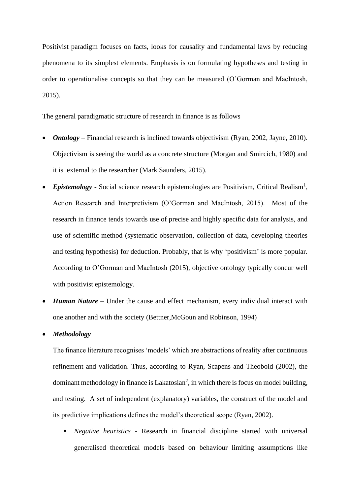Positivist paradigm focuses on facts, looks for causality and fundamental laws by reducing phenomena to its simplest elements. Emphasis is on formulating hypotheses and testing in order to operationalise concepts so that they can be measured (O'Gorman and MacIntosh, 2015).

The general paradigmatic structure of research in finance is as follows

- *Ontology* Financial research is inclined towards objectivism (Ryan, 2002, Jayne, 2010). Objectivism is seeing the world as a concrete structure (Morgan and Smircich, 1980) and it is external to the researcher (Mark Saunders, 2015).
- *Epistemology* Social science research epistemologies are Positivism, Critical Realism<sup>1</sup>, Action Research and Interpretivism (O'Gorman and MacIntosh, 2015). Most of the research in finance tends towards use of precise and highly specific data for analysis, and use of scientific method (systematic observation, collection of data, developing theories and testing hypothesis) for deduction. Probably, that is why 'positivism' is more popular. According to O'Gorman and MacIntosh (2015), objective ontology typically concur well with positivist epistemology.
- *Human Nature –* Under the cause and effect mechanism, every individual interact with one another and with the society (Bettner,McGoun and Robinson, 1994)

# • *Methodology*

The finance literature recognises 'models' which are abstractions of reality after continuous refinement and validation. Thus, according to Ryan, Scapens and Theobold (2002), the dominant methodology in finance is Lakatosian<sup>2</sup>, in which there is focus on model building, and testing. A set of independent (explanatory) variables, the construct of the model and its predictive implications defines the model's theoretical scope (Ryan, 2002).

▪ *Negative heuristics* - Research in financial discipline started with universal generalised theoretical models based on behaviour limiting assumptions like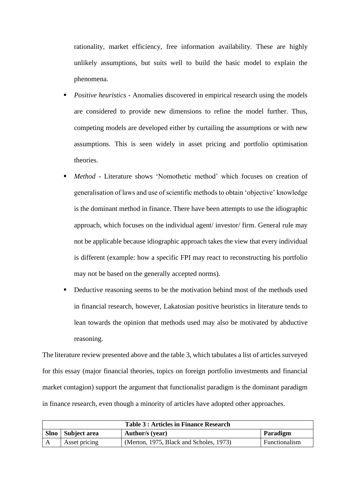rationality, market efficiency, free information availability. These are highly unlikely assumptions, but suits well to build the basic model to explain the phenomena.

- *Positive heuristics* Anomalies discovered in empirical research using the models are considered to provide new dimensions to refine the model further. Thus, competing models are developed either by curtailing the assumptions or with new assumptions. This is seen widely in asset pricing and portfolio optimisation theories.
- *Method* Literature shows 'Nomothetic method' which focuses on creation of generalisation of laws and use of scientific methods to obtain 'objective' knowledge is the dominant method in finance. There have been attempts to use the idiographic approach, which focuses on the individual agent/ investor/ firm. General rule may not be applicable because idiographic approach takes the view that every individual is different (example: how a specific FPI may react to reconstructing his portfolio may not be based on the generally accepted norms).
- Deductive reasoning seems to be the motivation behind most of the methods used in financial research, however, Lakatosian positive heuristics in literature tends to lean towards the opinion that methods used may also be motivated by abductive reasoning.

The literature review presented above and the table 3, which tabulates a list of articles surveyed for this essay (major financial theories, topics on foreign portfolio investments and financial market contagion) support the argument that functionalist paradigm is the dominant paradigm in finance research, even though a minority of articles have adopted other approaches.

|      | <b>Table 3: Articles in Finance Research</b> |                                         |               |  |  |  |
|------|----------------------------------------------|-----------------------------------------|---------------|--|--|--|
| Slno | Subject area                                 | Author/s (year)                         | Paradigm      |  |  |  |
|      | Asset pricing                                | (Merton, 1975, Black and Scholes, 1973) | Functionalism |  |  |  |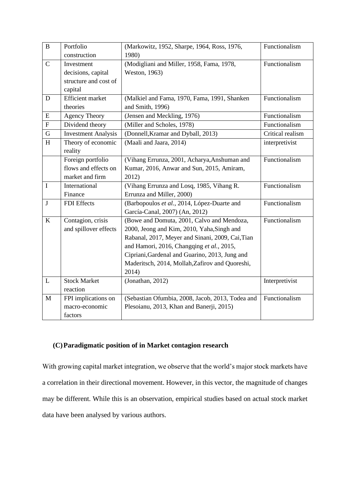| $\, {\bf B}$ | Portfolio                  | (Markowitz, 1952, Sharpe, 1964, Ross, 1976,      | Functionalism    |
|--------------|----------------------------|--------------------------------------------------|------------------|
|              | construction               | 1980)                                            |                  |
| $\mathbf C$  | Investment                 | (Modigliani and Miller, 1958, Fama, 1978,        | Functionalism    |
|              | decisions, capital         | Weston, 1963)                                    |                  |
|              | structure and cost of      |                                                  |                  |
|              | capital                    |                                                  |                  |
| D            | <b>Efficient</b> market    | (Malkiel and Fama, 1970, Fama, 1991, Shanken     | Functionalism    |
|              | theories                   | and Smith, 1996)                                 |                  |
| E            | <b>Agency Theory</b>       | (Jensen and Meckling, 1976)                      | Functionalism    |
| $\mathbf F$  | Dividend theory            | (Miller and Scholes, 1978)                       | Functionalism    |
| $\mathbf G$  | <b>Investment Analysis</b> | (Donnell, Kramar and Dyball, 2013)               | Critical realism |
| H            | Theory of economic         | (Maali and Jaara, 2014)                          | interpretivist   |
|              | reality                    |                                                  |                  |
|              | Foreign portfolio          | (Vihang Errunza, 2001, Acharya, Anshuman and     | Functionalism    |
|              | flows and effects on       | Kumar, 2016, Anwar and Sun, 2015, Amiram,        |                  |
|              | market and firm            | 2012)                                            |                  |
| $\mathbf I$  | International              | (Vihang Errunza and Losq, 1985, Vihang R.        | Functionalism    |
|              | Finance                    | Errunza and Miller, 2000)                        |                  |
| $\mathbf{J}$ | FDI Effects                | (Barbopoulos et al., 2014, López-Duarte and      | Functionalism    |
|              |                            | García-Canal, 2007) (An, 2012)                   |                  |
| $\rm K$      | Contagion, crisis          | (Bowe and Domuta, 2001, Calvo and Mendoza,       | Functionalism    |
|              | and spillover effects      | 2000, Jeong and Kim, 2010, Yaha, Singh and       |                  |
|              |                            | Rabanal, 2017, Meyer and Sinani, 2009, Cai, Tian |                  |
|              |                            | and Hamori, 2016, Changqing et al., 2015,        |                  |
|              |                            | Cipriani, Gardenal and Guarino, 2013, Jung and   |                  |
|              |                            | Maderitsch, 2014, Mollah, Zafirov and Quoreshi,  |                  |
|              |                            | 2014)                                            |                  |
| L            | <b>Stock Market</b>        | (Jonathan, 2012)                                 | Interpretivist   |
|              | reaction                   |                                                  |                  |
| M            | FPI implications on        | (Sebastian Ofumbia, 2008, Jacob, 2013, Todea and | Functionalism    |
|              | macro-economic             | Plesoianu, 2013, Khan and Banerji, 2015)         |                  |
|              | factors                    |                                                  |                  |

# **(C)Paradigmatic position of in Market contagion research**

With growing capital market integration, we observe that the world's major stock markets have a correlation in their directional movement. However, in this vector, the magnitude of changes may be different. While this is an observation, empirical studies based on actual stock market data have been analysed by various authors.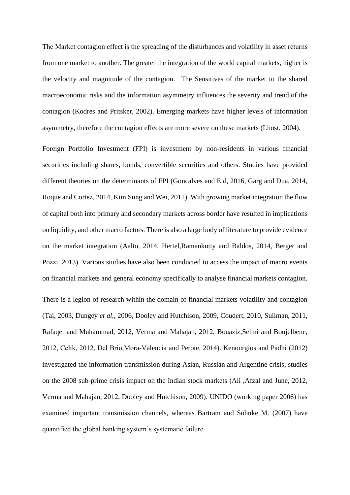The Market contagion effect is the spreading of the disturbances and volatility in asset returns from one market to another. The greater the integration of the world capital markets, higher is the velocity and magnitude of the contagion. The Sensitives of the market to the shared macroeconomic risks and the information asymmetry influences the severity and trend of the contagion (Kodres and Pritsker, 2002). Emerging markets have higher levels of information asymmetry, therefore the contagion effects are more severe on these markets (Lhost, 2004).

Foreign Portfolio Investment (FPI) is investment by non-residents in various financial securities including shares, bonds, convertible securities and others. Studies have provided different theories on the determinants of FPI (Goncalves and Eid, 2016, Garg and Dua, 2014, Roque and Cortez, 2014, Kim,Sung and Wei, 2011). With growing market integration the flow of capital both into primary and secondary markets across border have resulted in implications on liquidity, and other macro factors. There is also a large body of literature to provide evidence on the market integration (Aalto, 2014, Hertel,Ramankutty and Baldos, 2014, Berger and Pozzi, 2013). Various studies have also been conducted to access the impact of macro events on financial markets and general economy specifically to analyse financial markets contagion.

There is a legion of research within the domain of financial markets volatility and contagion (Tai, 2003, Dungey *et al.*, 2006, Dooley and Hutchison, 2009, Coudert, 2010, Suliman, 2011, Rafaqet and Muhammad, 2012, Verma and Mahajan, 2012, Bouaziz,Selmi and Boujelbene, 2012, Celık, 2012, Del Brio,Mora-Valencia and Perote, 2014). Kenourgios and Padhi (2012) investigated the information transmission during Asian, Russian and Argentine crisis, studies on the 2008 sub-prime crisis impact on the Indian stock markets (Ali ,Afzal and June, 2012, Verma and Mahajan, 2012, Dooley and Hutchison, 2009). UNIDO (working paper 2006) has examined important transmission channels, whereas Bartram and Söhnke M. (2007) have quantified the global banking system's systematic failure.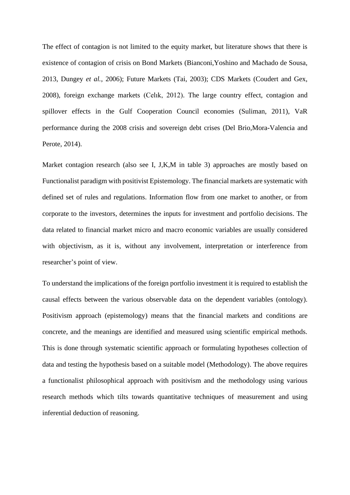The effect of contagion is not limited to the equity market, but literature shows that there is existence of contagion of crisis on Bond Markets (Bianconi,Yoshino and Machado de Sousa, 2013, Dungey *et al.*, 2006); Future Markets (Tai, 2003); CDS Markets (Coudert and Gex, 2008), foreign exchange markets (Celık, 2012). The large country effect, contagion and spillover effects in the Gulf Cooperation Council economies (Suliman, 2011), VaR performance during the 2008 crisis and sovereign debt crises (Del Brio,Mora-Valencia and Perote, 2014).

Market contagion research (also see I, J, K, M in table 3) approaches are mostly based on Functionalist paradigm with positivist Epistemology. The financial markets are systematic with defined set of rules and regulations. Information flow from one market to another, or from corporate to the investors, determines the inputs for investment and portfolio decisions. The data related to financial market micro and macro economic variables are usually considered with objectivism, as it is, without any involvement, interpretation or interference from researcher's point of view.

To understand the implications of the foreign portfolio investment it is required to establish the causal effects between the various observable data on the dependent variables (ontology). Positivism approach (epistemology) means that the financial markets and conditions are concrete, and the meanings are identified and measured using scientific empirical methods. This is done through systematic scientific approach or formulating hypotheses collection of data and testing the hypothesis based on a suitable model (Methodology). The above requires a functionalist philosophical approach with positivism and the methodology using various research methods which tilts towards quantitative techniques of measurement and using inferential deduction of reasoning.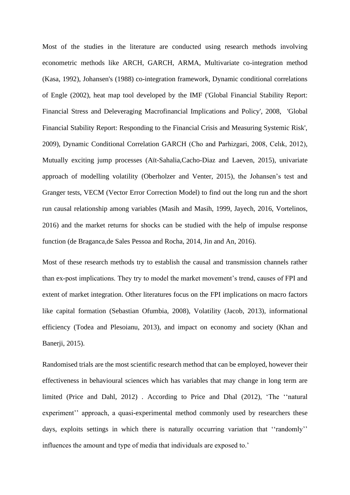Most of the studies in the literature are conducted using research methods involving econometric methods like ARCH, GARCH, ARMA, Multivariate co-integration method (Kasa, 1992), Johansen's (1988) co-integration framework, Dynamic conditional correlations of Engle (2002), heat map tool developed by the IMF ('Global Financial Stability Report: Financial Stress and Deleveraging Macrofinancial Implications and Policy', 2008, 'Global Financial Stability Report: Responding to the Financial Crisis and Measuring Systemic Risk', 2009), Dynamic Conditional Correlation GARCH (Cho and Parhizgari, 2008, Celık, 2012), Mutually exciting jump processes (Aït-Sahalia,Cacho-Diaz and Laeven, 2015), univariate approach of modelling volatility (Oberholzer and Venter, 2015), the Johansen's test and Granger tests, VECM (Vector Error Correction Model) to find out the long run and the short run causal relationship among variables (Masih and Masih, 1999, Jayech, 2016, Vortelinos, 2016) and the market returns for shocks can be studied with the help of impulse response function (de Braganca,de Sales Pessoa and Rocha, 2014, Jin and An, 2016).

Most of these research methods try to establish the causal and transmission channels rather than ex-post implications. They try to model the market movement's trend, causes of FPI and extent of market integration. Other literatures focus on the FPI implications on macro factors like capital formation (Sebastian Ofumbia, 2008), Volatility (Jacob, 2013), informational efficiency (Todea and Plesoianu, 2013), and impact on economy and society (Khan and Banerji, 2015).

Randomised trials are the most scientific research method that can be employed, however their effectiveness in behavioural sciences which has variables that may change in long term are limited (Price and Dahl, 2012) . According to Price and Dhal (2012), 'The ''natural experiment'' approach, a quasi-experimental method commonly used by researchers these days, exploits settings in which there is naturally occurring variation that "randomly" influences the amount and type of media that individuals are exposed to.'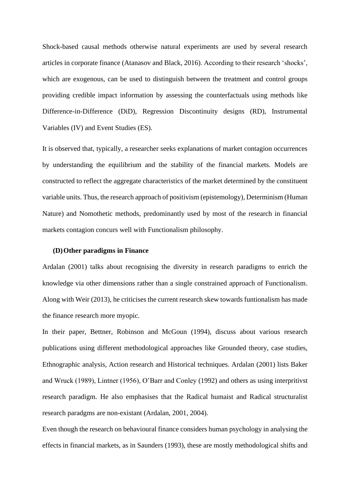Shock-based causal methods otherwise natural experiments are used by several research articles in corporate finance (Atanasov and Black, 2016). According to their research 'shocks', which are exogenous, can be used to distinguish between the treatment and control groups providing credible impact information by assessing the counterfactuals using methods like Difference-in-Difference (DiD), Regression Discontinuity designs (RD), Instrumental Variables (IV) and Event Studies (ES).

It is observed that, typically, a researcher seeks explanations of market contagion occurrences by understanding the equilibrium and the stability of the financial markets. Models are constructed to reflect the aggregate characteristics of the market determined by the constituent variable units. Thus, the research approach of positivism (epistemology), Determinism (Human Nature) and Nomothetic methods, predominantly used by most of the research in financial markets contagion concurs well with Functionalism philosophy.

#### **(D)Other paradigms in Finance**

Ardalan (2001) talks about recognising the diversity in research paradigms to enrich the knowledge via other dimensions rather than a single constrained approach of Functionalism. Along with Weir (2013), he criticises the current research skew towards funtionalism has made the finance research more myopic.

In their paper, Bettner, Robinson and McGoun (1994), discuss about various research publications using different methodological approaches like Grounded theory, case studies, Ethnographic analysis, Action research and Historical techniques. Ardalan (2001) lists Baker and Wruck (1989), Lintner (1956), O'Barr and Conley (1992) and others as using interpritivst research paradigm. He also emphasises that the Radical humaist and Radical structuralist research paradgms are non-existant (Ardalan, 2001, 2004).

Even though the research on behavioural finance considers human psychology in analysing the effects in financial markets, as in Saunders (1993), these are mostly methodological shifts and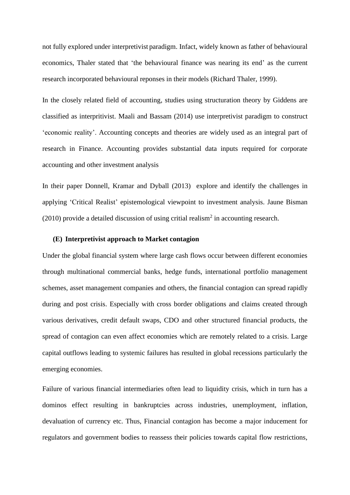not fully explored under interpretivist paradigm. Infact, widely known as father of behavioural economics, Thaler stated that 'the behavioural finance was nearing its end' as the current research incorporated behavioural reponses in their models (Richard Thaler, 1999).

In the closely related field of accounting, studies using structuration theory by Giddens are classified as interpritivist. Maali and Bassam (2014) use interpretivist paradigm to construct 'economic reality'. Accounting concepts and theories are widely used as an integral part of research in Finance. Accounting provides substantial data inputs required for corporate accounting and other investment analysis

In their paper Donnell, Kramar and Dyball (2013) explore and identify the challenges in applying 'Critical Realist' epistemological viewpoint to investment analysis. Jaune Bisman  $(2010)$  provide a detailed discussion of using critial realism<sup>2</sup> in accounting research.

### **(E) Interpretivist approach to Market contagion**

Under the global financial system where large cash flows occur between different economies through multinational commercial banks, hedge funds, international portfolio management schemes, asset management companies and others, the financial contagion can spread rapidly during and post crisis. Especially with cross border obligations and claims created through various derivatives, credit default swaps, CDO and other structured financial products, the spread of contagion can even affect economies which are remotely related to a crisis. Large capital outflows leading to systemic failures has resulted in global recessions particularly the emerging economies.

Failure of various financial intermediaries often lead to liquidity crisis, which in turn has a dominos effect resulting in bankruptcies across industries, unemployment, inflation, devaluation of currency etc. Thus, Financial contagion has become a major inducement for regulators and government bodies to reassess their policies towards capital flow restrictions,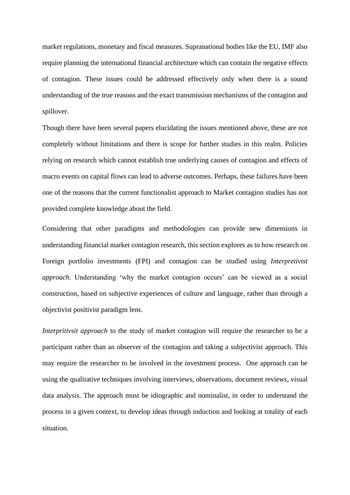market regulations, monetary and fiscal measures. Supranational bodies like the EU, IMF also require planning the international financial architecture which can contain the negative effects of contagion. These issues could be addressed effectively only when there is a sound understanding of the true reasons and the exact transmission mechanisms of the contagion and spillover.

Though there have been several papers elucidating the issues mentioned above, these are not completely without limitations and there is scope for further studies in this realm. Policies relying on research which cannot establish true underlying causes of contagion and effects of macro events on capital flows can lead to adverse outcomes. Perhaps, these failures have been one of the reasons that the current functionalist approach to Market contagion studies has not provided complete knowledge about the field.

Considering that other paradigms and methodologies can provide new dimensions in understanding financial market contagion research, this section explores as to how research on Foreign portfolio investments (FPI) and contagion can be studied using *Interpretivist approach*. Understanding 'why the market contagion occurs' can be viewed as a social construction, based on subjective experiences of culture and language, rather than through a objectivist positivist paradigm lens.

*Interpritivsit approach* to the study of market contagion will require the researcher to be a participant rather than an observer of the contagion and taking a subjectivist approach. This may require the researcher to be involved in the investment process. One approach can be using the qualitative techniques involving interviews, observations, document reviews, visual data analysis. The approach must be idiographic and nominalist, in order to understand the process in a given context, to develop ideas through induction and looking at totality of each situation.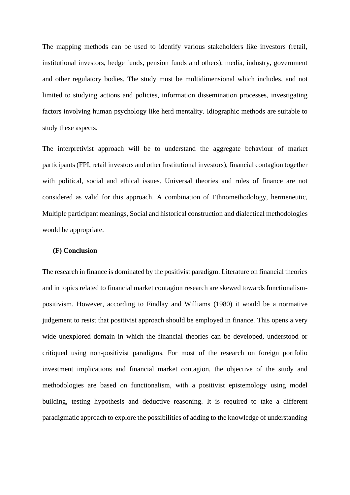The mapping methods can be used to identify various stakeholders like investors (retail, institutional investors, hedge funds, pension funds and others), media, industry, government and other regulatory bodies. The study must be multidimensional which includes, and not limited to studying actions and policies, information dissemination processes, investigating factors involving human psychology like herd mentality. Idiographic methods are suitable to study these aspects.

The interpretivist approach will be to understand the aggregate behaviour of market participants (FPI, retail investors and other Institutional investors), financial contagion together with political, social and ethical issues. Universal theories and rules of finance are not considered as valid for this approach. A combination of Ethnomethodology, hermeneutic, Multiple participant meanings, Social and historical construction and dialectical methodologies would be appropriate.

### **(F) Conclusion**

The research in finance is dominated by the positivist paradigm. Literature on financial theories and in topics related to financial market contagion research are skewed towards functionalismpositivism. However, according to Findlay and Williams (1980) it would be a normative judgement to resist that positivist approach should be employed in finance. This opens a very wide unexplored domain in which the financial theories can be developed, understood or critiqued using non-positivist paradigms. For most of the research on foreign portfolio investment implications and financial market contagion, the objective of the study and methodologies are based on functionalism, with a positivist epistemology using model building, testing hypothesis and deductive reasoning. It is required to take a different paradigmatic approach to explore the possibilities of adding to the knowledge of understanding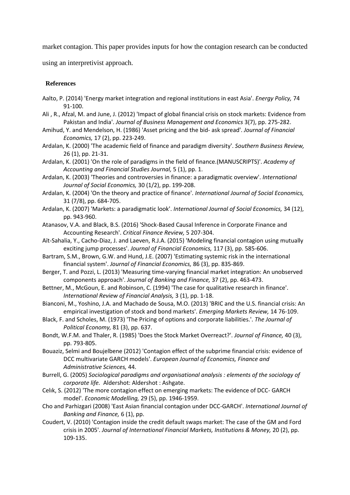market contagion. This paper provides inputs for how the contagion research can be conducted

using an interpretivist approach.

# **References**

- Aalto, P. (2014) 'Energy market integration and regional institutions in east Asia'. *Energy Policy,* 74 91-100.
- Ali , R., Afzal, M. and June, J. (2012) 'Impact of global financial crisis on stock markets: Evidence from Pakistan and India'. *Journal of Business Management and Economics* 3(7), pp. 275-282.
- Amihud, Y. and Mendelson, H. (1986) 'Asset pricing and the bid- ask spread'. *Journal of Financial Economics,* 17 (2), pp. 223-249.
- Ardalan, K. (2000) 'The academic field of finance and paradigm diversity'. *Southern Business Review,* 26 (1), pp. 21-31.

Ardalan, K. (2001) 'On the role of paradigms in the field of finance.(MANUSCRIPTS)'. *Academy of Accounting and Financial Studies Journal,* 5 (1), pp. 1.

Ardalan, K. (2003) 'Theories and controversies in finance: a paradigmatic overview'. *International Journal of Social Economics,* 30 (1/2), pp. 199-208.

- Ardalan, K. (2004) 'On the theory and practice of finance'. *International Journal of Social Economics,* 31 (7/8), pp. 684-705.
- Ardalan, K. (2007) 'Markets: a paradigmatic look'. *International Journal of Social Economics,* 34 (12), pp. 943-960.
- Atanasov, V.A. and Black, B.S. (2016) 'Shock-Based Causal Inference in Corporate Finance and Accounting Research'. *Critical Finance Review,* 5 207-304.
- Aït-Sahalia, Y., Cacho-Diaz, J. and Laeven, R.J.A. (2015) 'Modeling financial contagion using mutually exciting jump processes'. *Journal of Financial Economics,* 117 (3), pp. 585-606.
- Bartram, S.M., Brown, G.W. and Hund, J.E. (2007) 'Estimating systemic risk in the international financial system'. *Journal of Financial Economics,* 86 (3), pp. 835-869.
- Berger, T. and Pozzi, L. (2013) 'Measuring time-varying financial market integration: An unobserved components approach'. *Journal of Banking and Finance,* 37 (2), pp. 463-473.

Bettner, M., McGoun, E. and Robinson, C. (1994) 'The case for qualitative research in finance'. *International Review of Financial Analysis,* 3 (1), pp. 1-18.

- Bianconi, M., Yoshino, J.A. and Machado de Sousa, M.O. (2013) 'BRIC and the U.S. financial crisis: An empirical investigation of stock and bond markets'. *Emerging Markets Review,* 14 76-109.
- Black, F. and Scholes, M. (1973) 'The Pricing of options and corporate liabilities.'. *The Journal of Political Economy,* 81 (3), pp. 637.
- Bondt, W.F.M. and Thaler, R. (1985) 'Does the Stock Market Overreact?'. *Journal of Finance,* 40 (3), pp. 793-805.
- Bouaziz, Selmi and Boujelbene (2012) 'Contagion effect of the subprime financial crisis: evidence of DCC multivariate GARCH models'. *European Journal of Economics, Finance and Administrative Sciences,* 44.
- Burrell, G. (2005) *Sociological paradigms and organisational analysis : elements of the sociology of corporate life.* Aldershot: Aldershot : Ashgate.
- Celık, S. (2012) 'The more contagion effect on emerging markets: The evidence of DCC- GARCH model'. *Economic Modelling,* 29 (5), pp. 1946-1959.
- Cho and Parhizgari (2008) 'East Asian financial contagion under DCC-GARCH'. *International Journal of Banking and Finance,* 6 (1), pp.
- Coudert, V. (2010) 'Contagion inside the credit default swaps market: The case of the GM and Ford crisis in 2005'. *Journal of International Financial Markets, Institutions & Money,* 20 (2), pp. 109-135.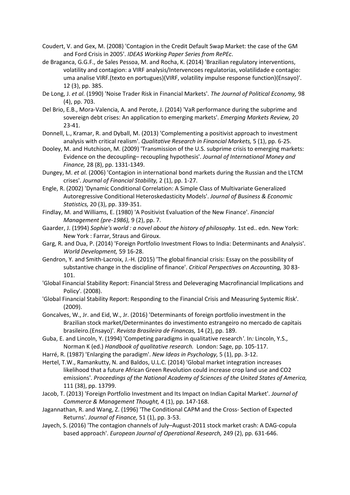- Coudert, V. and Gex, M. (2008) 'Contagion in the Credit Default Swap Market: the case of the GM and Ford Crisis in 2005'. *IDEAS Working Paper Series from RePEc*.
- de Braganca, G.G.F., de Sales Pessoa, M. and Rocha, K. (2014) 'Brazilian regulatory interventions, volatility and contagion: a VIRF analysis/Intervencoes regulatorias, volatilidade e contagio: uma analise VIRF.(texto en portugues)(VIRF, volatility impulse response function)(Ensayo)'. 12 (3), pp. 385.
- De Long, J. *et al.* (1990) 'Noise Trader Risk in Financial Markets'. *The Journal of Political Economy,* 98 (4), pp. 703.
- Del Brio, E.B., Mora-Valencia, A. and Perote, J. (2014) 'VaR performance during the subprime and sovereign debt crises: An application to emerging markets'. *Emerging Markets Review,* 20 23-41.
- Donnell, L., Kramar, R. and Dyball, M. (2013) 'Complementing a positivist approach to investment analysis with critical realism'. *Qualitative Research in Financial Markets,* 5 (1), pp. 6-25.
- Dooley, M. and Hutchison, M. (2009) 'Transmission of the U.S. subprime crisis to emerging markets: Evidence on the decoupling– recoupling hypothesis'. *Journal of International Money and Finance,* 28 (8), pp. 1331-1349.
- Dungey, M. *et al.* (2006) 'Contagion in international bond markets during the Russian and the LTCM crises'. *Journal of Financial Stability,* 2 (1), pp. 1-27.
- Engle, R. (2002) 'Dynamic Conditional Correlation: A Simple Class of Multivariate Generalized Autoregressive Conditional Heteroskedasticity Models'. *Journal of Business & Economic Statistics,* 20 (3), pp. 339-351.
- Findlay, M. and Williams, E. (1980) 'A Positivist Evaluation of the New Finance'. *Financial Management (pre-1986),* 9 (2), pp. 7.
- Gaarder, J. (1994) Sophie's world : a novel about the history of philosophy. 1st ed.. edn. New York: New York : Farrar, Straus and Giroux.
- Garg, R. and Dua, P. (2014) 'Foreign Portfolio Investment Flows to India: Determinants and Analysis'. *World Development,* 59 16-28.
- Gendron, Y. and Smith-Lacroix, J.-H. (2015) 'The global financial crisis: Essay on the possibility of substantive change in the discipline of finance'. *Critical Perspectives on Accounting,* 30 83- 101.
- 'Global Financial Stability Report: Financial Stress and Deleveraging Macrofinancial Implications and Policy'*.* (2008).
- 'Global Financial Stability Report: Responding to the Financial Crisis and Measuring Systemic Risk'*.* (2009).
- Goncalves, W., Jr. and Eid, W., Jr. (2016) 'Determinants of foreign portfolio investment in the Brazilian stock market/Determinantes do investimento estrangeiro no mercado de capitais brasileiro.(Ensayo)'. *Revista Brasileira de Financas,* 14 (2), pp. 189.
- Guba, E. and Lincoln, Y. (1994) 'Competing paradigms in qualitative research*'*. In*:* Lincoln, Y.S., Norman K (ed.) *Handbook of qualitative research.* London: Sage, pp. 105-117.
- Harré, R. (1987) 'Enlarging the paradigm'. *New Ideas in Psychology,* 5 (1), pp. 3-12.
- Hertel, T.W., Ramankutty, N. and Baldos, U.L.C. (2014) 'Global market integration increases likelihood that a future African Green Revolution could increase crop land use and CO2 emissions'. *Proceedings of the National Academy of Sciences of the United States of America,* 111 (38), pp. 13799.
- Jacob, T. (2013) 'Foreign Portfolio Investment and Its Impact on Indian Capital Market'. *Journal of Commerce & Management Thought,* 4 (1), pp. 147-168.
- Jagannathan, R. and Wang, Z. (1996) 'The Conditional CAPM and the Cross‐ Section of Expected Returns'. *Journal of Finance,* 51 (1), pp. 3-53.
- Jayech, S. (2016) 'The contagion channels of July–August-2011 stock market crash: A DAG-copula based approach'. *European Journal of Operational Research,* 249 (2), pp. 631-646.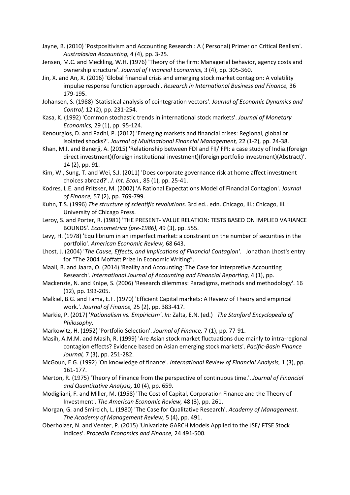- Jayne, B. (2010) 'Postpositivism and Accounting Research : A ( Personal) Primer on Critical Realism'. *Australasian Accounting,* 4 (4), pp. 3-25.
- Jensen, M.C. and Meckling, W.H. (1976) 'Theory of the firm: Managerial behavior, agency costs and ownership structure'. *Journal of Financial Economics,* 3 (4), pp. 305-360.
- Jin, X. and An, X. (2016) 'Global financial crisis and emerging stock market contagion: A volatility impulse response function approach'. *Research in International Business and Finance,* 36 179-195.
- Johansen, S. (1988) 'Statistical analysis of cointegration vectors'. *Journal of Economic Dynamics and Control,* 12 (2), pp. 231-254.
- Kasa, K. (1992) 'Common stochastic trends in international stock markets'. *Journal of Monetary Economics,* 29 (1), pp. 95-124.
- Kenourgios, D. and Padhi, P. (2012) 'Emerging markets and financial crises: Regional, global or isolated shocks?'. *Journal of Multinational Financial Management,* 22 (1-2), pp. 24-38.
- Khan, M.I. and Banerji, A. (2015) 'Relationship between FDI and FII/ FPI: a case study of India.(foreign direct investment)(foreign institutional investment)(foreign portfolio investment)(Abstract)'. 14 (2), pp. 91.
- Kim, W., Sung, T. and Wei, S.J. (2011) 'Does corporate governance risk at home affect investment choices abroad?'. *J. Int. Econ.,* 85 (1), pp. 25-41.
- Kodres, L.E. and Pritsker, M. (2002) 'A Rational Expectations Model of Financial Contagion'. *Journal of Finance,* 57 (2), pp. 769-799.
- Kuhn, T.S. (1996) *The structure of scientific revolutions.* 3rd ed.. edn. Chicago, Ill.: Chicago, Ill. : University of Chicago Press.
- Leroy, S. and Porter, R. (1981) 'THE PRESENT- VALUE RELATION: TESTS BASED ON IMPLIED VARIANCE BOUNDS'. *Econometrica (pre-1986),* 49 (3), pp. 555.
- Levy, H. (1978) 'Equilibrium in an imperfect market: a constraint on the number of securities in the portfolio'. *American Economic Review,* 68 643.
- Lhost, J. (2004) '*The Cause, Effects, and Implications of Financial Contagion'*. Jonathan Lhost's entry for "The 2004 Moffatt Prize in Economic Writing".
- Maali, B. and Jaara, O. (2014) 'Reality and Accounting: The Case for Interpretive Accounting Research'. *International Journal of Accounting and Financial Reporting,* 4 (1), pp.
- Mackenzie, N. and Knipe, S. (2006) 'Research dilemmas: Paradigms, methods and methodology'. 16 (12), pp. 193-205.
- Malkiel, B.G. and Fama, E.F. (1970) 'Efficient Capital markets: A Review of Theory and empirical work.'. *Journal of Finance,* 25 (2), pp. 383-417.
- Markie, P. (2017) '*Rationalism vs. Empiricism'*. *In:* Zalta, E.N. (ed.) *The Stanford Encyclopedia of Philosophy*.
- Markowitz, H. (1952) 'Portfolio Selection'. *Journal of Finance,* 7 (1), pp. 77-91.
- Masih, A.M.M. and Masih, R. (1999) 'Are Asian stock market fluctuations due mainly to intra-regional contagion effects? Evidence based on Asian emerging stock markets'. *Pacific-Basin Finance Journal,* 7 (3), pp. 251-282.
- McGoun, E.G. (1992) 'On knowledge of finance'. *International Review of Financial Analysis,* 1 (3), pp. 161-177.
- Merton, R. (1975) 'Theory of Finance from the perspective of continuous time.'. *Journal of Financial and Quantitative Analysis,* 10 (4), pp. 659.
- Modigliani, F. and Miller, M. (1958) 'The Cost of Capital, Corporation Finance and the Theory of Investment'. *The American Economic Review,* 48 (3), pp. 261.
- Morgan, G. and Smircich, L. (1980) 'The Case for Qualitative Research'. *Academy of Management. The Academy of Management Review,* 5 (4), pp. 491.
- Oberholzer, N. and Venter, P. (2015) 'Univariate GARCH Models Applied to the JSE/ FTSE Stock Indices'. *Procedia Economics and Finance,* 24 491-500.